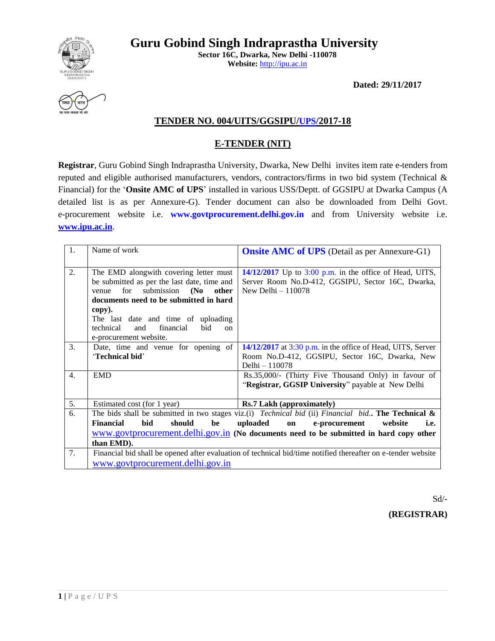

**Sector 16C, Dwarka, New Delhi -110078 Website:** [http://ipu.ac.in](http://ipu.ac.in/)

**Dated: 29/11/2017**



## **TENDER NO. 004/UITS/GGSIPU/UPS/2017-18**

## **E-TENDER (NIT)**

**Registrar**, Guru Gobind Singh Indraprastha University, Dwarka, New Delhi invites item rate e-tenders from reputed and eligible authorised manufacturers, vendors, contractors/firms in two bid system (Technical & Financial) for the '**Onsite AMC of UPS**' installed in various USS/Deptt. of GGSIPU at Dwarka Campus (A detailed list is as per Annexure-G). Tender document can also be downloaded from Delhi Govt. e-procurement website i.e. **www.govtprocurement.delhi.gov.in** and from University website i.e. **[www.ipu.ac.in](http://www.ipu.ac.in/)**.

| $\overline{1}$ . | Name of work                                                                                                                                                                                                                                                                                                   | <b>Onsite AMC of UPS</b> (Detail as per Annexure-G1)                                                                                                                                                                                                              |
|------------------|----------------------------------------------------------------------------------------------------------------------------------------------------------------------------------------------------------------------------------------------------------------------------------------------------------------|-------------------------------------------------------------------------------------------------------------------------------------------------------------------------------------------------------------------------------------------------------------------|
| 2.               | The EMD alongwith covering letter must<br>be submitted as per the last date, time and<br>for<br>submission (No<br>other<br>venue<br>documents need to be submitted in hard<br>copy).<br>The last date and time of uploading<br>financial<br>bid<br>technical<br>and<br><sub>on</sub><br>e-procurement website. | $14/12/2017$ Up to 3:00 p.m. in the office of Head, UITS,<br>Server Room No.D-412, GGSIPU, Sector 16C, Dwarka,<br>New Delhi $-110078$                                                                                                                             |
| 3.               | Date, time and venue for opening of<br>'Technical bid'                                                                                                                                                                                                                                                         | $14/12/2017$ at 3:30 p.m. in the office of Head, UITS, Server<br>Room No.D-412, GGSIPU, Sector 16C, Dwarka, New<br>Delhi - 110078                                                                                                                                 |
| $\overline{4}$ . | <b>EMD</b>                                                                                                                                                                                                                                                                                                     | Rs.35,000/- (Thirty Five Thousand Only) in favour of<br>"Registrar, GGSIP University" payable at New Delhi                                                                                                                                                        |
| 5.               | Estimated cost (for 1 year)                                                                                                                                                                                                                                                                                    | <b>Rs.7 Lakh (approximately)</b>                                                                                                                                                                                                                                  |
| 6.               | <b>Financial</b><br>should<br>be<br>bid<br>than EMD).                                                                                                                                                                                                                                                          | The bids shall be submitted in two stages viz.(i) <i>Technical bid</i> (ii) <i>Financial bid.</i> The Technical &<br>uploaded<br>on<br>e-procurement<br>website<br>i.e.<br>www.govtprocurement.delhi.gov.in (No documents need to be submitted in hard copy other |
| 7.               | www.govtprocurement.delhi.gov.in                                                                                                                                                                                                                                                                               | Financial bid shall be opened after evaluation of technical bid/time notified thereafter on e-tender website                                                                                                                                                      |

Sd/-

**(REGISTRAR)**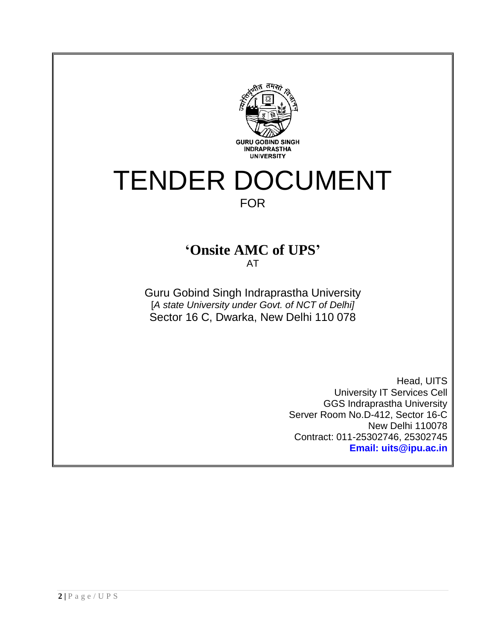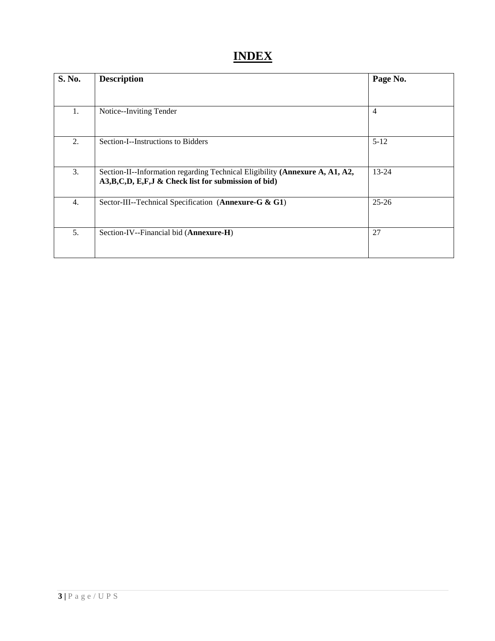# **INDEX**

| S. No.           | <b>Description</b>                                                                                                                       | Page No.       |
|------------------|------------------------------------------------------------------------------------------------------------------------------------------|----------------|
|                  |                                                                                                                                          |                |
| 1.               | Notice--Inviting Tender                                                                                                                  | $\overline{4}$ |
| 2.               | Section-I--Instructions to Bidders                                                                                                       | $5 - 12$       |
| 3.               | Section-II--Information regarding Technical Eligibility (Annexure A, A1, A2,<br>A3, B, C, D, E, F, J & Check list for submission of bid) | $13 - 24$      |
| $\overline{4}$ . | Sector-III--Technical Specification (Annexure-G & G1)                                                                                    | $25 - 26$      |
| 5.               | Section-IV--Financial bid (Annexure-H)                                                                                                   | 27             |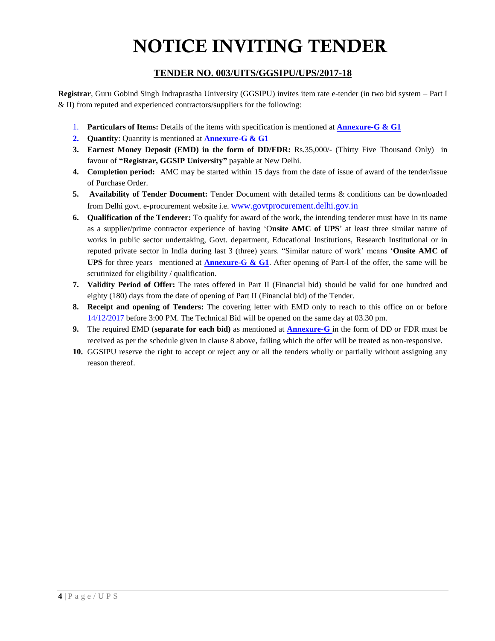# **NOTICE INVITING TENDER**

## **TENDER NO. 003/UITS/GGSIPU/UPS/2017-18**

**Registrar**, Guru Gobind Singh Indraprastha University (GGSIPU) invites item rate e-tender (in two bid system – Part I & II) from reputed and experienced contractors/suppliers for the following:

- 1. **Particulars of Items:** Details of the items with specification is mentioned at **Annexure-G & G1**
- **2. Quantity**: Quantity is mentioned at **Annexure-G & G1**
- **3. Earnest Money Deposit (EMD) in the form of DD/FDR:** Rs.35,000/- (Thirty Five Thousand Only) in favour of **"Registrar, GGSIP University"** payable at New Delhi.
- **4. Completion period:** AMC may be started within 15 days from the date of issue of award of the tender/issue of Purchase Order.
- **5. Availability of Tender Document:** Tender Document with detailed terms & conditions can be downloaded from Delhi govt. e-procurement website i.e. [www.govtprocurement.delhi.gov.in](http://www.govtprocurement.delhi..gov.in/)
- **6. Qualification of the Tenderer:** To qualify for award of the work, the intending tenderer must have in its name as a supplier/prime contractor experience of having 'O**nsite AMC of UPS**' at least three similar nature of works in public sector undertaking, Govt. department, Educational Institutions, Research Institutional or in reputed private sector in India during last 3 (three) years. "Similar nature of work' means '**Onsite AMC of UPS** for three years– mentioned at **Annexure-G & G1**. After opening of Part-l of the offer, the same will be scrutinized for eligibility / qualification.
- **7. Validity Period of Offer:** The rates offered in Part II (Financial bid) should be valid for one hundred and eighty (180) days from the date of opening of Part II (Financial bid) of the Tender.
- **8. Receipt and opening of Tenders:** The covering letter with EMD only to reach to this office on or before 14/12/2017 before 3:00 PM. The Technical Bid will be opened on the same day at 03.30 pm.
- **9.** The required EMD (**separate for each bid)** as mentioned at **Annexure-G** in the form of DD or FDR must be received as per the schedule given in clause 8 above, failing which the offer will be treated as non-responsive.
- **10.** GGSIPU reserve the right to accept or reject any or all the tenders wholly or partially without assigning any reason thereof.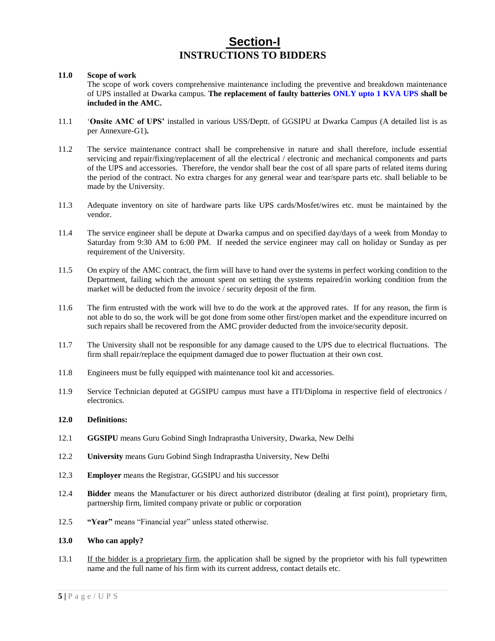## **Section-I INSTRUCTIONS TO BIDDERS**

### **11.0 Scope of work**

The scope of work covers comprehensive maintenance including the preventive and breakdown maintenance of UPS installed at Dwarka campus. **The replacement of faulty batteries ONLY upto 1 KVA UPS shall be included in the AMC.**

- 11.1 '**Onsite AMC of UPS'** installed in various USS/Deptt. of GGSIPU at Dwarka Campus (A detailed list is as per Annexure-G1)**.**
- 11.2 The service maintenance contract shall be comprehensive in nature and shall therefore, include essential servicing and repair/fixing/replacement of all the electrical / electronic and mechanical components and parts of the UPS and accessories. Therefore, the vendor shall bear the cost of all spare parts of related items during the period of the contract. No extra charges for any general wear and tear/spare parts etc. shall beliable to be made by the University.
- 11.3 Adequate inventory on site of hardware parts like UPS cards/Mosfet/wires etc. must be maintained by the vendor.
- 11.4 The service engineer shall be depute at Dwarka campus and on specified day/days of a week from Monday to Saturday from 9:30 AM to 6:00 PM. If needed the service engineer may call on holiday or Sunday as per requirement of the University.
- 11.5 On expiry of the AMC contract, the firm will have to hand over the systems in perfect working condition to the Department, failing which the amount spent on setting the systems repaired/in working condition from the market will be deducted from the invoice / security deposit of the firm.
- 11.6 The firm entrusted with the work will hve to do the work at the approved rates. If for any reason, the firm is not able to do so, the work will be got done from some other first/open market and the expenditure incurred on such repairs shall be recovered from the AMC provider deducted from the invoice/security deposit.
- 11.7 The University shall not be responsible for any damage caused to the UPS due to electrical fluctuations. The firm shall repair/replace the equipment damaged due to power fluctuation at their own cost.
- 11.8 Engineers must be fully equipped with maintenance tool kit and accessories.
- 11.9 Service Technician deputed at GGSIPU campus must have a ITI/Diploma in respective field of electronics / electronics.

### **12.0 Definitions:**

- 12.1 **GGSIPU** means Guru Gobind Singh Indraprastha University, Dwarka, New Delhi
- 12.2 **University** means Guru Gobind Singh Indraprastha University, New Delhi
- 12.3 **Employer** means the Registrar, GGSIPU and his successor
- 12.4 **Bidder** means the Manufacturer or his direct authorized distributor (dealing at first point), proprietary firm, partnership firm, limited company private or public or corporation
- 12.5 **"Year"** means "Financial year" unless stated otherwise.

### **13.0 Who can apply?**

13.1 If the bidder is a proprietary firm, the application shall be signed by the proprietor with his full typewritten name and the full name of his firm with its current address, contact details etc.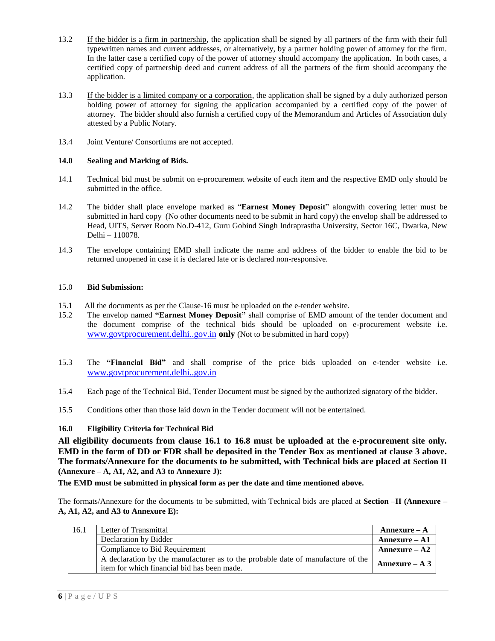- 13.2 If the bidder is a firm in partnership, the application shall be signed by all partners of the firm with their full typewritten names and current addresses, or alternatively, by a partner holding power of attorney for the firm. In the latter case a certified copy of the power of attorney should accompany the application. In both cases, a certified copy of partnership deed and current address of all the partners of the firm should accompany the application.
- 13.3 If the bidder is a limited company or a corporation, the application shall be signed by a duly authorized person holding power of attorney for signing the application accompanied by a certified copy of the power of attorney. The bidder should also furnish a certified copy of the Memorandum and Articles of Association duly attested by a Public Notary.
- 13.4 Joint Venture/ Consortiums are not accepted.

## **14.0 Sealing and Marking of Bids.**

- 14.1 Technical bid must be submit on e-procurement website of each item and the respective EMD only should be submitted in the office.
- 14.2 The bidder shall place envelope marked as "**Earnest Money Deposit**" alongwith covering letter must be submitted in hard copy (No other documents need to be submit in hard copy) the envelop shall be addressed to Head, UITS, Server Room No.D-412, Guru Gobind Singh Indraprastha University, Sector 16C, Dwarka, New Delhi – 110078.
- 14.3 The envelope containing EMD shall indicate the name and address of the bidder to enable the bid to be returned unopened in case it is declared late or is declared non-responsive.

## 15.0 **Bid Submission:**

- 15.1 All the documents as per the Clause-16 must be uploaded on the e-tender website.
- 15.2 The envelop named **"Earnest Money Deposit"** shall comprise of EMD amount of the tender document and the document comprise of the technical bids should be uploaded on e-procurement website i.e. [www.govtprocurement.delhi..gov.in](http://www.govtprocurement.delhi..gov.in/) **only** (Not to be submitted in hard copy)
- 15.3 The **"Financial Bid"** and shall comprise of the price bids uploaded on e-tender website i.e. [www.govtprocurement.delhi..gov.in](http://www.govtprocurement.delhi..gov.in/)
- 15.4 Each page of the Technical Bid, Tender Document must be signed by the authorized signatory of the bidder.
- 15.5 Conditions other than those laid down in the Tender document will not be entertained.

## **16.0 Eligibility Criteria for Technical Bid**

**All eligibility documents from clause 16.1 to 16.8 must be uploaded at the e-procurement site only. EMD in the form of DD or FDR shall be deposited in the Tender Box as mentioned at clause 3 above. The formats/Annexure for the documents to be submitted, with Technical bids are placed at Section II (Annexure – A, A1, A2, and A3 to Annexure J):** 

**The EMD must be submitted in physical form as per the date and time mentioned above.**

The formats/Annexure for the documents to be submitted, with Technical bids are placed at **Section –II (Annexure – A, A1, A2, and A3 to Annexure E):** 

| 16.1 | Letter of Transmittal                                                           | Annexure $- A$   |
|------|---------------------------------------------------------------------------------|------------------|
|      | Declaration by Bidder                                                           | $Annexure - A1$  |
|      | Compliance to Bid Requirement                                                   | Annexure $- A2$  |
|      | A declaration by the manufacturer as to the probable date of manufacture of the | Annexure $- A 3$ |
|      | item for which financial bid has been made.                                     |                  |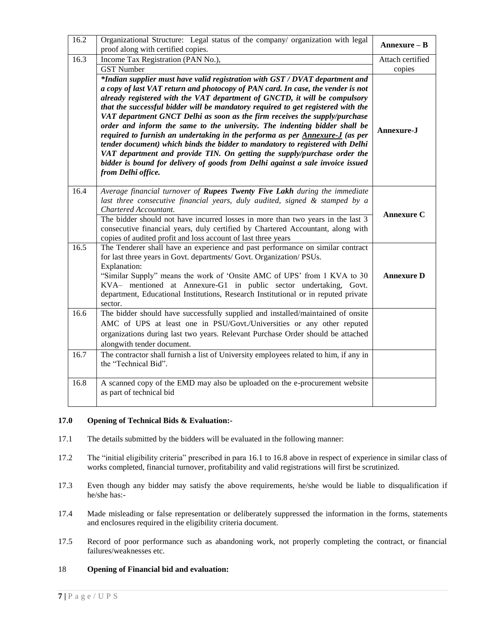| 16.2 | Organizational Structure: Legal status of the company/ organization with legal<br>proof along with certified copies.                                                                                                                                                                                                                                                                                                                                                                                                                                                                                                                                                                                                                                                                                                                               | Annexure - B      |
|------|----------------------------------------------------------------------------------------------------------------------------------------------------------------------------------------------------------------------------------------------------------------------------------------------------------------------------------------------------------------------------------------------------------------------------------------------------------------------------------------------------------------------------------------------------------------------------------------------------------------------------------------------------------------------------------------------------------------------------------------------------------------------------------------------------------------------------------------------------|-------------------|
| 16.3 | Income Tax Registration (PAN No.),                                                                                                                                                                                                                                                                                                                                                                                                                                                                                                                                                                                                                                                                                                                                                                                                                 | Attach certified  |
|      | <b>GST Number</b>                                                                                                                                                                                                                                                                                                                                                                                                                                                                                                                                                                                                                                                                                                                                                                                                                                  | copies            |
|      | *Indian supplier must have valid registration with GST / DVAT department and<br>a copy of last VAT return and photocopy of PAN card. In case, the vender is not<br>already registered with the VAT department of GNCTD, it will be compulsory<br>that the successful bidder will be mandatory required to get registered with the<br>VAT department GNCT Delhi as soon as the firm receives the supply/purchase<br>order and inform the same to the university. The indenting bidder shall be<br>required to furnish an undertaking in the performa as per Annexure-J (as per<br>tender document) which binds the bidder to mandatory to registered with Delhi<br>VAT department and provide TIN. On getting the supply/purchase order the<br>bidder is bound for delivery of goods from Delhi against a sale invoice issued<br>from Delhi office. | Annexure-J        |
| 16.4 | Average financial turnover of Rupees Twenty Five Lakh during the immediate<br>last three consecutive financial years, duly audited, signed $\&$ stamped by a<br>Chartered Accountant.<br>The bidder should not have incurred losses in more than two years in the last 3<br>consecutive financial years, duly certified by Chartered Accountant, along with<br>copies of audited profit and loss account of last three years                                                                                                                                                                                                                                                                                                                                                                                                                       | <b>Annexure C</b> |
| 16.5 | The Tenderer shall have an experience and past performance on similar contract<br>for last three years in Govt. departments/ Govt. Organization/ PSUs.<br>Explanation:<br>"Similar Supply" means the work of 'Onsite AMC of UPS' from 1 KVA to 30<br>KVA- mentioned at Annexure-G1 in public sector undertaking, Govt.<br>department, Educational Institutions, Research Institutional or in reputed private<br>sector.                                                                                                                                                                                                                                                                                                                                                                                                                            | <b>Annexure D</b> |
| 16.6 | The bidder should have successfully supplied and installed/maintained of onsite<br>AMC of UPS at least one in PSU/Govt./Universities or any other reputed<br>organizations during last two years. Relevant Purchase Order should be attached<br>alongwith tender document.                                                                                                                                                                                                                                                                                                                                                                                                                                                                                                                                                                         |                   |
| 16.7 | The contractor shall furnish a list of University employees related to him, if any in<br>the "Technical Bid".                                                                                                                                                                                                                                                                                                                                                                                                                                                                                                                                                                                                                                                                                                                                      |                   |
| 16.8 | A scanned copy of the EMD may also be uploaded on the e-procurement website<br>as part of technical bid                                                                                                                                                                                                                                                                                                                                                                                                                                                                                                                                                                                                                                                                                                                                            |                   |

## **17.0 Opening of Technical Bids & Evaluation:-**

- 17.1 The details submitted by the bidders will be evaluated in the following manner:
- 17.2 The "initial eligibility criteria" prescribed in para 16.1 to 16.8 above in respect of experience in similar class of works completed, financial turnover, profitability and valid registrations will first be scrutinized.
- 17.3 Even though any bidder may satisfy the above requirements, he/she would be liable to disqualification if he/she has:-
- 17.4 Made misleading or false representation or deliberately suppressed the information in the forms, statements and enclosures required in the eligibility criteria document.
- 17.5 Record of poor performance such as abandoning work, not properly completing the contract, or financial failures/weaknesses etc.

## 18 **Opening of Financial bid and evaluation:**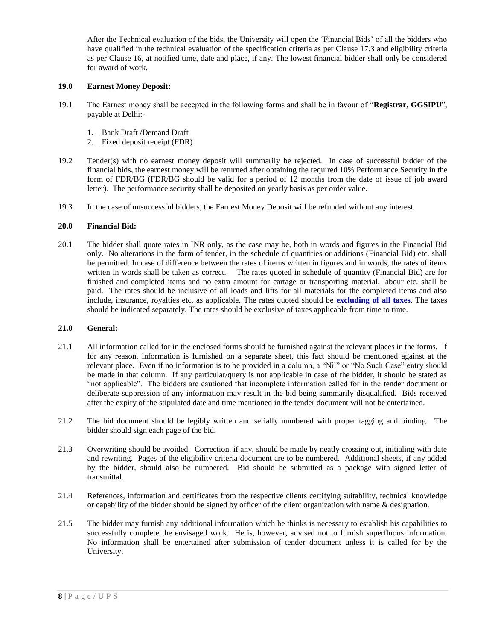After the Technical evaluation of the bids, the University will open the 'Financial Bids' of all the bidders who have qualified in the technical evaluation of the specification criteria as per Clause 17.3 and eligibility criteria as per Clause 16, at notified time, date and place, if any. The lowest financial bidder shall only be considered for award of work.

## **19.0 Earnest Money Deposit:**

- 19.1 The Earnest money shall be accepted in the following forms and shall be in favour of "**Registrar, GGSIPU**", payable at Delhi:-
	- 1. Bank Draft /Demand Draft
	- 2. Fixed deposit receipt (FDR)
- 19.2 Tender(s) with no earnest money deposit will summarily be rejected. In case of successful bidder of the financial bids, the earnest money will be returned after obtaining the required 10% Performance Security in the form of FDR/BG (FDR/BG should be valid for a period of 12 months from the date of issue of job award letter). The performance security shall be deposited on yearly basis as per order value.
- 19.3 In the case of unsuccessful bidders, the Earnest Money Deposit will be refunded without any interest.

### **20.0 Financial Bid:**

20.1 The bidder shall quote rates in INR only, as the case may be, both in words and figures in the Financial Bid only. No alterations in the form of tender, in the schedule of quantities or additions (Financial Bid) etc. shall be permitted. In case of difference between the rates of items written in figures and in words, the rates of items written in words shall be taken as correct. The rates quoted in schedule of quantity (Financial Bid) are for finished and completed items and no extra amount for cartage or transporting material, labour etc. shall be paid. The rates should be inclusive of all loads and lifts for all materials for the completed items and also include, insurance, royalties etc. as applicable. The rates quoted should be **excluding of all taxes**. The taxes should be indicated separately. The rates should be exclusive of taxes applicable from time to time.

### **21.0 General:**

- 21.1 All information called for in the enclosed forms should be furnished against the relevant places in the forms. If for any reason, information is furnished on a separate sheet, this fact should be mentioned against at the relevant place. Even if no information is to be provided in a column, a "Nil" or "No Such Case" entry should be made in that column. If any particular/query is not applicable in case of the bidder, it should be stated as "not applicable". The bidders are cautioned that incomplete information called for in the tender document or deliberate suppression of any information may result in the bid being summarily disqualified. Bids received after the expiry of the stipulated date and time mentioned in the tender document will not be entertained.
- 21.2 The bid document should be legibly written and serially numbered with proper tagging and binding. The bidder should sign each page of the bid.
- 21.3 Overwriting should be avoided. Correction, if any, should be made by neatly crossing out, initialing with date and rewriting. Pages of the eligibility criteria document are to be numbered. Additional sheets, if any added by the bidder, should also be numbered. Bid should be submitted as a package with signed letter of transmittal.
- 21.4 References, information and certificates from the respective clients certifying suitability, technical knowledge or capability of the bidder should be signed by officer of the client organization with name & designation.
- 21.5 The bidder may furnish any additional information which he thinks is necessary to establish his capabilities to successfully complete the envisaged work. He is, however, advised not to furnish superfluous information. No information shall be entertained after submission of tender document unless it is called for by the University.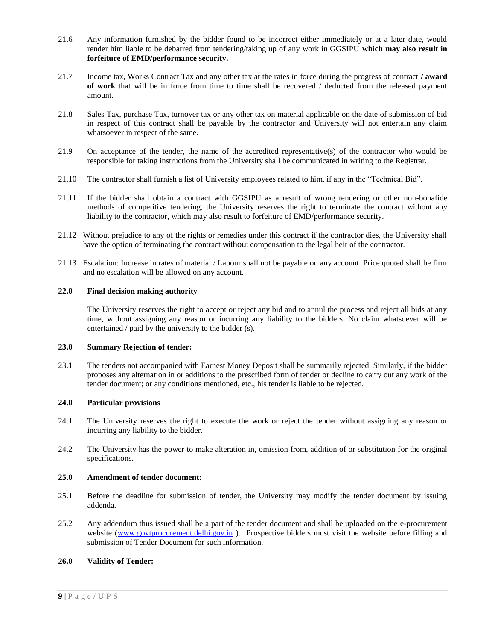- 21.6 Any information furnished by the bidder found to be incorrect either immediately or at a later date, would render him liable to be debarred from tendering/taking up of any work in GGSIPU **which may also result in forfeiture of EMD/performance security.**
- 21.7 Income tax, Works Contract Tax and any other tax at the rates in force during the progress of contract **/ award of work** that will be in force from time to time shall be recovered / deducted from the released payment amount.
- 21.8 Sales Tax, purchase Tax, turnover tax or any other tax on material applicable on the date of submission of bid in respect of this contract shall be payable by the contractor and University will not entertain any claim whatsoever in respect of the same.
- 21.9 On acceptance of the tender, the name of the accredited representative(s) of the contractor who would be responsible for taking instructions from the University shall be communicated in writing to the Registrar.
- 21.10 The contractor shall furnish a list of University employees related to him, if any in the "Technical Bid".
- 21.11 If the bidder shall obtain a contract with GGSIPU as a result of wrong tendering or other non-bonafide methods of competitive tendering, the University reserves the right to terminate the contract without any liability to the contractor, which may also result to forfeiture of EMD/performance security.
- 21.12 Without prejudice to any of the rights or remedies under this contract if the contractor dies, the University shall have the option of terminating the contract without compensation to the legal heir of the contractor.
- 21.13 Escalation: Increase in rates of material / Labour shall not be payable on any account. Price quoted shall be firm and no escalation will be allowed on any account.

### **22.0 Final decision making authority**

The University reserves the right to accept or reject any bid and to annul the process and reject all bids at any time, without assigning any reason or incurring any liability to the bidders. No claim whatsoever will be entertained / paid by the university to the bidder (s).

### **23.0 Summary Rejection of tender:**

23.1 The tenders not accompanied with Earnest Money Deposit shall be summarily rejected. Similarly, if the bidder proposes any alternation in or additions to the prescribed form of tender or decline to carry out any work of the tender document; or any conditions mentioned, etc., his tender is liable to be rejected.

### **24.0 Particular provisions**

- 24.1 The University reserves the right to execute the work or reject the tender without assigning any reason or incurring any liability to the bidder.
- 24.2 The University has the power to make alteration in, omission from, addition of or substitution for the original specifications.

## **25.0 Amendment of tender document:**

- 25.1 Before the deadline for submission of tender, the University may modify the tender document by issuing addenda.
- 25.2 Any addendum thus issued shall be a part of the tender document and shall be uploaded on the e-procurement website [\(www.govtprocurement.delhi.gov.in](http://www.govtprocurement.delhi.gov.in/)). Prospective bidders must visit the website before filling and submission of Tender Document for such information.

### **26.0 Validity of Tender:**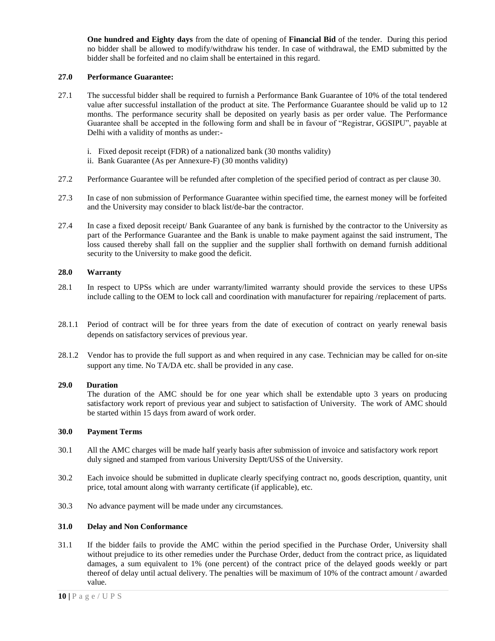**One hundred and Eighty days** from the date of opening of **Financial Bid** of the tender. During this period no bidder shall be allowed to modify/withdraw his tender. In case of withdrawal, the EMD submitted by the bidder shall be forfeited and no claim shall be entertained in this regard.

## **27.0 Performance Guarantee:**

- 27.1 The successful bidder shall be required to furnish a Performance Bank Guarantee of 10% of the total tendered value after successful installation of the product at site. The Performance Guarantee should be valid up to 12 months. The performance security shall be deposited on yearly basis as per order value. The Performance Guarantee shall be accepted in the following form and shall be in favour of "Registrar, GGSIPU", payable at Delhi with a validity of months as under:
	- i. Fixed deposit receipt (FDR) of a nationalized bank (30 months validity)
	- ii. Bank Guarantee (As per Annexure-F) (30 months validity)
- 27.2 Performance Guarantee will be refunded after completion of the specified period of contract as per clause 30.
- 27.3 In case of non submission of Performance Guarantee within specified time, the earnest money will be forfeited and the University may consider to black list/de-bar the contractor.
- 27.4 In case a fixed deposit receipt/ Bank Guarantee of any bank is furnished by the contractor to the University as part of the Performance Guarantee and the Bank is unable to make payment against the said instrument, The loss caused thereby shall fall on the supplier and the supplier shall forthwith on demand furnish additional security to the University to make good the deficit.

## **28.0 Warranty**

- 28.1 In respect to UPSs which are under warranty/limited warranty should provide the services to these UPSs include calling to the OEM to lock call and coordination with manufacturer for repairing /replacement of parts.
- 28.1.1 Period of contract will be for three years from the date of execution of contract on yearly renewal basis depends on satisfactory services of previous year.
- 28.1.2 Vendor has to provide the full support as and when required in any case. Technician may be called for on-site support any time. No TA/DA etc. shall be provided in any case.

### **29.0 Duration**

The duration of the AMC should be for one year which shall be extendable upto 3 years on producing satisfactory work report of previous year and subject to satisfaction of University. The work of AMC should be started within 15 days from award of work order.

### **30.0 Payment Terms**

- 30.1 All the AMC charges will be made half yearly basis after submission of invoice and satisfactory work report duly signed and stamped from various University Deptt/USS of the University.
- 30.2 Each invoice should be submitted in duplicate clearly specifying contract no, goods description, quantity, unit price, total amount along with warranty certificate (if applicable), etc.
- 30.3 No advance payment will be made under any circumstances.

## **31.0 Delay and Non Conformance**

31.1 If the bidder fails to provide the AMC within the period specified in the Purchase Order, University shall without prejudice to its other remedies under the Purchase Order, deduct from the contract price, as liquidated damages, a sum equivalent to 1% (one percent) of the contract price of the delayed goods weekly or part thereof of delay until actual delivery. The penalties will be maximum of 10% of the contract amount / awarded value.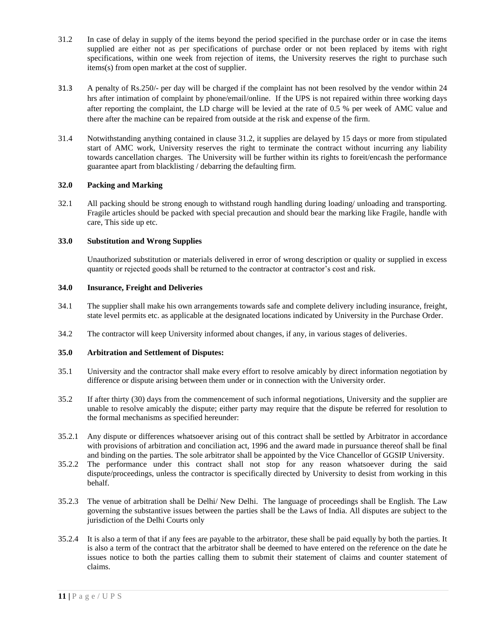- 31.2 In case of delay in supply of the items beyond the period specified in the purchase order or in case the items supplied are either not as per specifications of purchase order or not been replaced by items with right specifications, within one week from rejection of items, the University reserves the right to purchase such items(s) from open market at the cost of supplier.
- 31.3 A penalty of Rs.250/- per day will be charged if the complaint has not been resolved by the vendor within 24 hrs after intimation of complaint by phone/email/online. If the UPS is not repaired within three working days after reporting the complaint, the LD charge will be levied at the rate of 0.5 % per week of AMC value and there after the machine can be repaired from outside at the risk and expense of the firm.
- 31.4 Notwithstanding anything contained in clause 31.2, it supplies are delayed by 15 days or more from stipulated start of AMC work, University reserves the right to terminate the contract without incurring any liability towards cancellation charges. The University will be further within its rights to foreit/encash the performance guarantee apart from blacklisting / debarring the defaulting firm.

## **32.0 Packing and Marking**

32.1 All packing should be strong enough to withstand rough handling during loading/ unloading and transporting. Fragile articles should be packed with special precaution and should bear the marking like Fragile, handle with care, This side up etc.

## **33.0 Substitution and Wrong Supplies**

Unauthorized substitution or materials delivered in error of wrong description or quality or supplied in excess quantity or rejected goods shall be returned to the contractor at contractor's cost and risk.

## **34.0 Insurance, Freight and Deliveries**

- 34.1 The supplier shall make his own arrangements towards safe and complete delivery including insurance, freight, state level permits etc. as applicable at the designated locations indicated by University in the Purchase Order.
- 34.2 The contractor will keep University informed about changes, if any, in various stages of deliveries.

### **35.0 Arbitration and Settlement of Disputes:**

- 35.1 University and the contractor shall make every effort to resolve amicably by direct information negotiation by difference or dispute arising between them under or in connection with the University order.
- 35.2 If after thirty (30) days from the commencement of such informal negotiations, University and the supplier are unable to resolve amicably the dispute; either party may require that the dispute be referred for resolution to the formal mechanisms as specified hereunder:
- 35.2.1 Any dispute or differences whatsoever arising out of this contract shall be settled by Arbitrator in accordance with provisions of arbitration and conciliation act, 1996 and the award made in pursuance thereof shall be final and binding on the parties. The sole arbitrator shall be appointed by the Vice Chancellor of GGSIP University.
- 35.2.2 The performance under this contract shall not stop for any reason whatsoever during the said dispute/proceedings, unless the contractor is specifically directed by University to desist from working in this behalf.
- 35.2.3 The venue of arbitration shall be Delhi/ New Delhi. The language of proceedings shall be English. The Law governing the substantive issues between the parties shall be the Laws of India. All disputes are subject to the jurisdiction of the Delhi Courts only
- 35.2.4 It is also a term of that if any fees are payable to the arbitrator, these shall be paid equally by both the parties. It is also a term of the contract that the arbitrator shall be deemed to have entered on the reference on the date he issues notice to both the parties calling them to submit their statement of claims and counter statement of claims.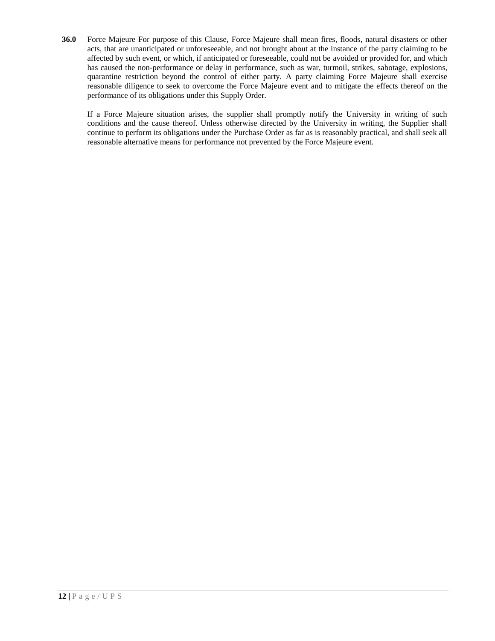**36.0** Force Majeure For purpose of this Clause, Force Majeure shall mean fires, floods, natural disasters or other acts, that are unanticipated or unforeseeable, and not brought about at the instance of the party claiming to be affected by such event, or which, if anticipated or foreseeable, could not be avoided or provided for, and which has caused the non-performance or delay in performance, such as war, turmoil, strikes, sabotage, explosions, quarantine restriction beyond the control of either party. A party claiming Force Majeure shall exercise reasonable diligence to seek to overcome the Force Majeure event and to mitigate the effects thereof on the performance of its obligations under this Supply Order.

If a Force Majeure situation arises, the supplier shall promptly notify the University in writing of such conditions and the cause thereof. Unless otherwise directed by the University in writing, the Supplier shall continue to perform its obligations under the Purchase Order as far as is reasonably practical, and shall seek all reasonable alternative means for performance not prevented by the Force Majeure event.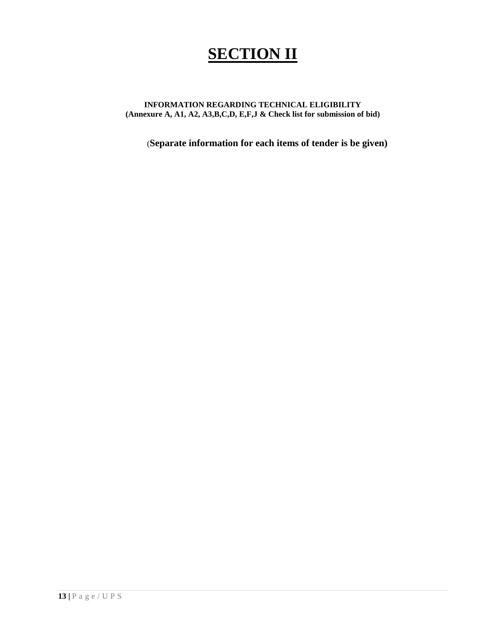# **SECTION II**

## **INFORMATION REGARDING TECHNICAL ELIGIBILITY (Annexure A, A1, A2, A3,B,C,D, E,F,J & Check list for submission of bid)**

(**Separate information for each items of tender is be given)**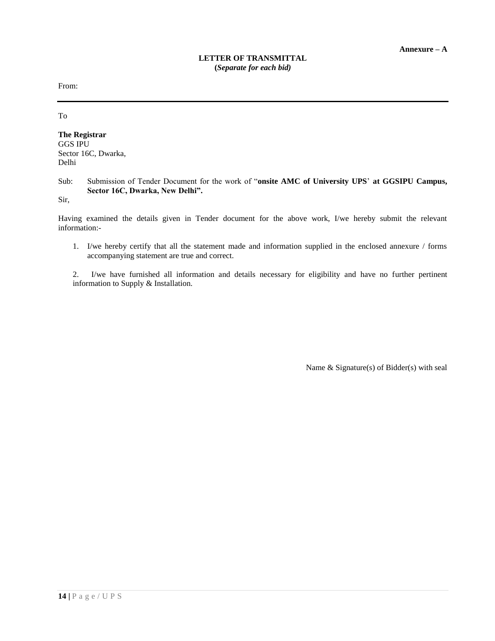From:

To

**The Registrar** GGS IPU Sector 16C, Dwarka, Delhi

## Sub: Submission of Tender Document for the work of "**onsite AMC of University UPS**' **at GGSIPU Campus, Sector 16C, Dwarka, New Delhi".**

Sir,

Having examined the details given in Tender document for the above work, I/we hereby submit the relevant information:-

1. I/we hereby certify that all the statement made and information supplied in the enclosed annexure / forms accompanying statement are true and correct.

2. I/we have furnished all information and details necessary for eligibility and have no further pertinent information to Supply & Installation.

Name & Signature(s) of Bidder(s) with seal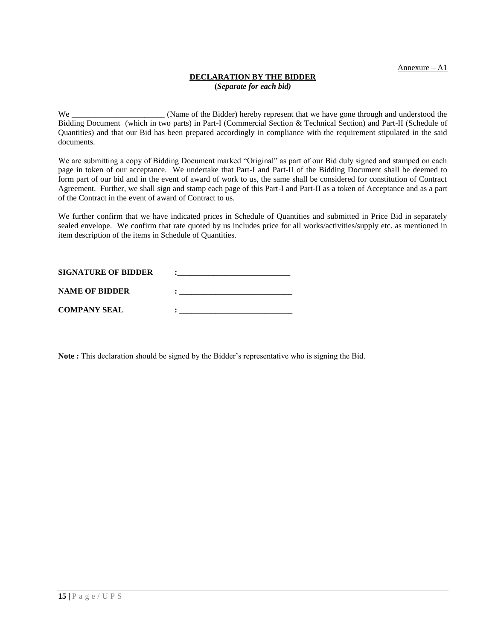Annexure – A1

## **DECLARATION BY THE BIDDER**

**(***Separate for each bid)*

We \_\_\_\_\_\_\_\_\_\_\_\_\_\_\_\_\_\_\_\_\_\_\_\_\_ (Name of the Bidder) hereby represent that we have gone through and understood the Bidding Document (which in two parts) in Part-I (Commercial Section & Technical Section) and Part-II (Schedule of Quantities) and that our Bid has been prepared accordingly in compliance with the requirement stipulated in the said documents.

We are submitting a copy of Bidding Document marked "Original" as part of our Bid duly signed and stamped on each page in token of our acceptance. We undertake that Part-I and Part-II of the Bidding Document shall be deemed to form part of our bid and in the event of award of work to us, the same shall be considered for constitution of Contract Agreement. Further, we shall sign and stamp each page of this Part-I and Part-II as a token of Acceptance and as a part of the Contract in the event of award of Contract to us.

We further confirm that we have indicated prices in Schedule of Quantities and submitted in Price Bid in separately sealed envelope. We confirm that rate quoted by us includes price for all works/activities/supply etc. as mentioned in item description of the items in Schedule of Quantities.

| <b>SIGNATURE OF BIDDER</b> |  |
|----------------------------|--|
| <b>NAME OF BIDDER</b>      |  |
| <b>COMPANY SEAL</b>        |  |

**Note :** This declaration should be signed by the Bidder's representative who is signing the Bid.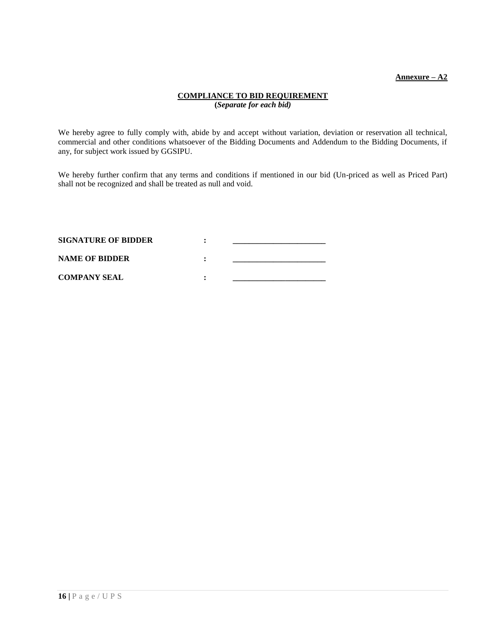## **Annexure – A2**

## **COMPLIANCE TO BID REQUIREMENT (***Separate for each bid)*

We hereby agree to fully comply with, abide by and accept without variation, deviation or reservation all technical, commercial and other conditions whatsoever of the Bidding Documents and Addendum to the Bidding Documents, if any, for subject work issued by GGSIPU.

We hereby further confirm that any terms and conditions if mentioned in our bid (Un-priced as well as Priced Part) shall not be recognized and shall be treated as null and void.

| <b>SIGNATURE OF BIDDER</b> |  |
|----------------------------|--|
| <b>NAME OF BIDDER</b>      |  |
| <b>COMPANY SEAL</b>        |  |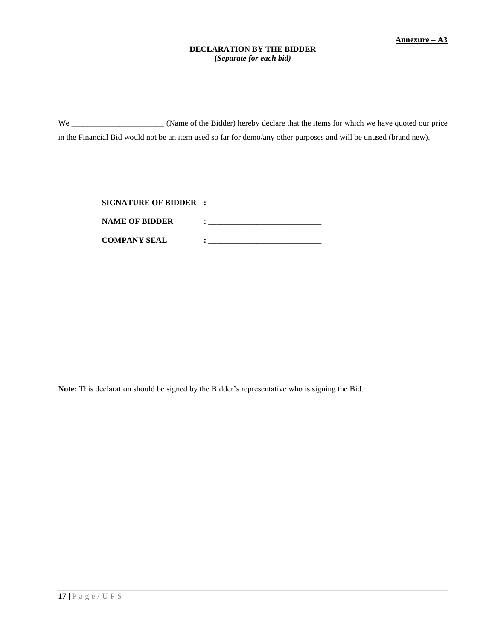## **DECLARATION BY THE BIDDER**

**(***Separate for each bid)*

We \_\_\_\_\_\_\_\_\_\_\_\_\_\_\_\_\_\_\_\_\_\_\_ (Name of the Bidder) hereby declare that the items for which we have quoted our price in the Financial Bid would not be an item used so far for demo/any other purposes and will be unused (brand new).

| <b>SIGNATURE OF BIDDER :</b> |  |
|------------------------------|--|
| <b>NAME OF BIDDER</b>        |  |
| <b>COMPANY SEAL</b>          |  |

**Note:** This declaration should be signed by the Bidder's representative who is signing the Bid.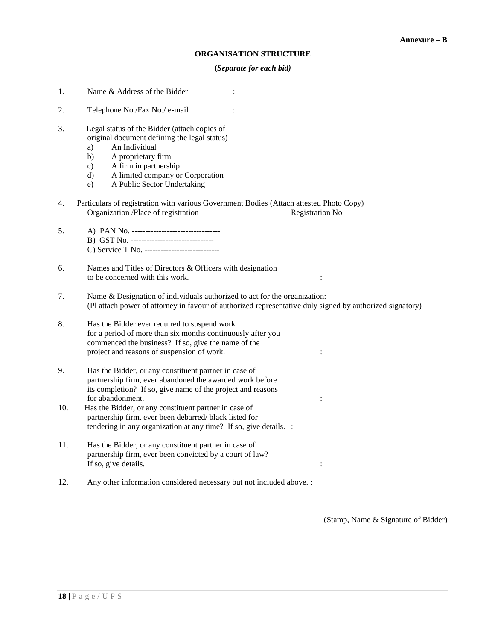### **ORGANISATION STRUCTURE**

#### **(***Separate for each bid)*

- 1. Name & Address of the Bidder :
- 2. Telephone No./Fax No./ e-mail :
- 3. Legal status of the Bidder (attach copies of original document defining the legal status)
	- a) An Individual
	- b) A proprietary firm
	- c) A firm in partnership
	- d) A limited company or Corporation
	- e) A Public Sector Undertaking
- 4. Particulars of registration with various Government Bodies (Attach attested Photo Copy) Organization /Place of registration Registration No
- 5. A) PAN No. --------------------------------- B) GST No. ------------------------------- C) Service T No. ----------------------------
- 6. Names and Titles of Directors & Officers with designation to be concerned with this work. :
- 7. Name & Designation of individuals authorized to act for the organization: (Pl attach power of attorney in favour of authorized representative duly signed by authorized signatory)
- 8. Has the Bidder ever required to suspend work for a period of more than six months continuously after you commenced the business? If so, give the name of the project and reasons of suspension of work.  $\cdot$  :
- 9. Has the Bidder, or any constituent partner in case of partnership firm, ever abandoned the awarded work before its completion? If so, give name of the project and reasons for abandonment.
- 10. Has the Bidder, or any constituent partner in case of partnership firm, ever been debarred/ black listed for tendering in any organization at any time? If so, give details. :
- 11. Has the Bidder, or any constituent partner in case of partnership firm, ever been convicted by a court of law? If so, give details.
- 12. Any other information considered necessary but not included above. :

(Stamp, Name & Signature of Bidder)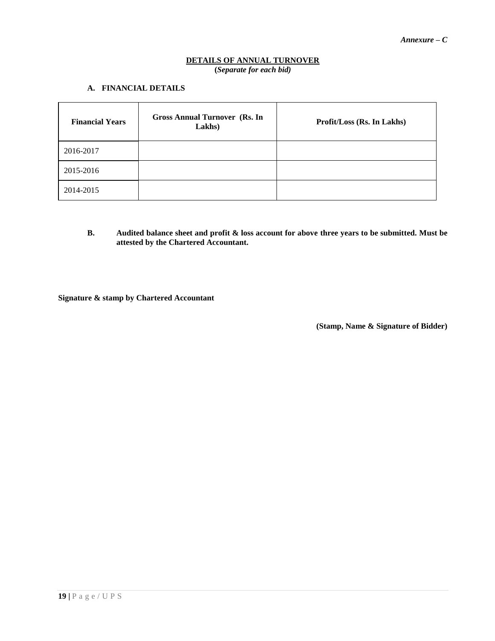## **DETAILS OF ANNUAL TURNOVER (***Separate for each bid)*

## **A. FINANCIAL DETAILS**

| <b>Financial Years</b> | <b>Gross Annual Turnover (Rs. In</b><br>Lakhs) | Profit/Loss (Rs. In Lakhs) |
|------------------------|------------------------------------------------|----------------------------|
| 2016-2017              |                                                |                            |
| 2015-2016              |                                                |                            |
| 2014-2015              |                                                |                            |

**B. Audited balance sheet and profit & loss account for above three years to be submitted. Must be attested by the Chartered Accountant.**

**Signature & stamp by Chartered Accountant**

 **(Stamp, Name & Signature of Bidder)**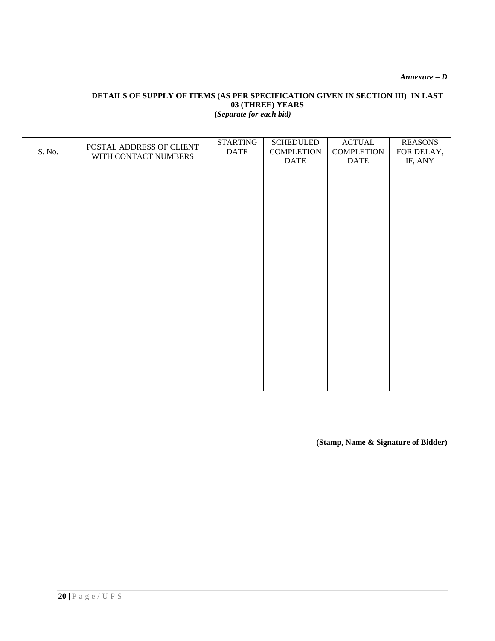*Annexure – D*

## **DETAILS OF SUPPLY OF ITEMS (AS PER SPECIFICATION GIVEN IN SECTION III) IN LAST 03 (THREE) YEARS (***Separate for each bid)*

| S. No. | POSTAL ADDRESS OF CLIENT<br>WITH CONTACT NUMBERS | <b>STARTING</b><br><b>DATE</b> | <b>SCHEDULED</b><br><b>COMPLETION</b><br><b>DATE</b> | <b>ACTUAL</b><br><b>COMPLETION</b><br><b>DATE</b> | <b>REASONS</b><br>FOR DELAY,<br>IF, ANY |
|--------|--------------------------------------------------|--------------------------------|------------------------------------------------------|---------------------------------------------------|-----------------------------------------|
|        |                                                  |                                |                                                      |                                                   |                                         |
|        |                                                  |                                |                                                      |                                                   |                                         |
|        |                                                  |                                |                                                      |                                                   |                                         |
|        |                                                  |                                |                                                      |                                                   |                                         |
|        |                                                  |                                |                                                      |                                                   |                                         |
|        |                                                  |                                |                                                      |                                                   |                                         |
|        |                                                  |                                |                                                      |                                                   |                                         |
|        |                                                  |                                |                                                      |                                                   |                                         |
|        |                                                  |                                |                                                      |                                                   |                                         |
|        |                                                  |                                |                                                      |                                                   |                                         |

**(Stamp, Name & Signature of Bidder)**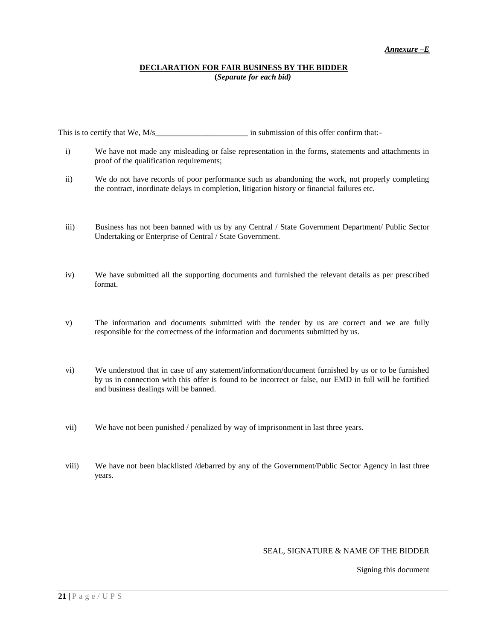### **DECLARATION FOR FAIR BUSINESS BY THE BIDDER (***Separate for each bid)*

This is to certify that We, M/s\_\_\_\_\_\_\_\_\_\_\_\_\_\_\_\_\_\_\_\_\_\_\_ in submission of this offer confirm that:-

- i) We have not made any misleading or false representation in the forms, statements and attachments in proof of the qualification requirements;
- ii) We do not have records of poor performance such as abandoning the work, not properly completing the contract, inordinate delays in completion, litigation history or financial failures etc.
- iii) Business has not been banned with us by any Central / State Government Department/ Public Sector Undertaking or Enterprise of Central / State Government.
- iv) We have submitted all the supporting documents and furnished the relevant details as per prescribed format.
- v) The information and documents submitted with the tender by us are correct and we are fully responsible for the correctness of the information and documents submitted by us.
- vi) We understood that in case of any statement/information/document furnished by us or to be furnished by us in connection with this offer is found to be incorrect or false, our EMD in full will be fortified and business dealings will be banned.
- vii) We have not been punished / penalized by way of imprisonment in last three years.
- viii) We have not been blacklisted /debarred by any of the Government/Public Sector Agency in last three years.

### SEAL, SIGNATURE & NAME OF THE BIDDER

Signing this document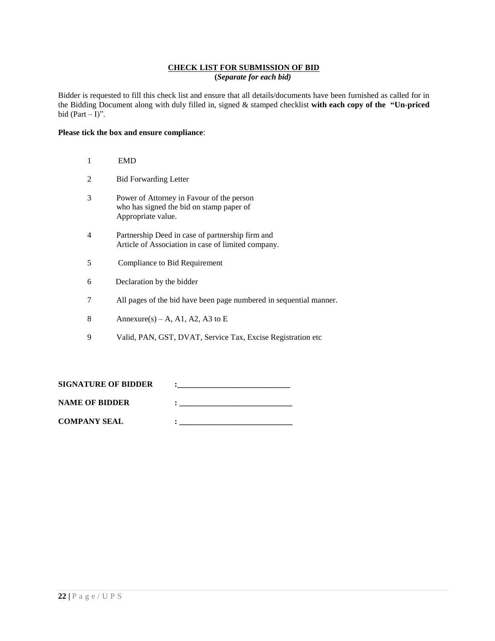## **CHECK LIST FOR SUBMISSION OF BID (***Separate for each bid)*

Bidder is requested to fill this check list and ensure that all details/documents have been furnished as called for in the Bidding Document along with duly filled in, signed & stamped checklist **with each copy of the "Un-priced**  bid (Part  $-1$ )".

## **Please tick the box and ensure compliance**:

|   | <b>EMD</b>                                                                                                  |
|---|-------------------------------------------------------------------------------------------------------------|
|   | <b>Bid Forwarding Letter</b>                                                                                |
| 3 | Power of Attorney in Favour of the person<br>who has signed the bid on stamp paper of<br>Appropriate value. |
| 4 | Partnership Deed in case of partnership firm and<br>Article of Association in case of limited company.      |
| 5 | Compliance to Bid Requirement                                                                               |
| 6 | Declaration by the bidder                                                                                   |
| 7 | All pages of the bid have been page numbered in sequential manner.                                          |
| 8 | Annexure(s) – A, A1, A2, A3 to E                                                                            |

9 Valid, PAN, GST, DVAT, Service Tax, Excise Registration etc

| <b>SIGNATURE OF BIDDER</b> |  |
|----------------------------|--|
| <b>NAME OF BIDDER</b>      |  |
| <b>COMPANY SEAL</b>        |  |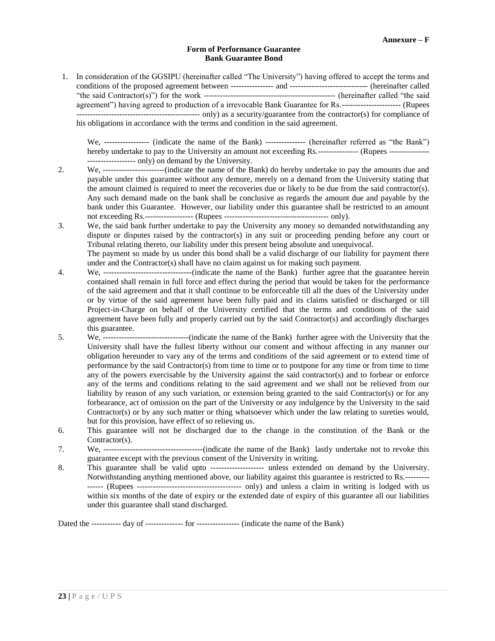## **Form of Performance Guarantee Bank Guarantee Bond**

1. In consideration of the GGSIPU (hereinafter called "The University") having offered to accept the terms and conditions of the proposed agreement between ---------------- and ----------------------------- (hereinafter called "the said Contractor(s)") for the work ------------------------------------------------- (hereinafter called "the said agreement") having agreed to production of a irrevocable Bank Guarantee for Rs.---------------------- (Rupees ---------------------------------------------- only) as a security/guarantee from the contractor(s) for compliance of his obligations in accordance with the terms and condition in the said agreement.

We, ----------------- (indicate the name of the Bank) --------------- (hereinafter referred as "the Bank") hereby undertake to pay to the University an amount not exceeding Rs.--------------- (Rupees ---------------------------------- only) on demand by the University.

- 2. We, -----------------------(indicate the name of the Bank) do hereby undertake to pay the amounts due and payable under this guarantee without any demure, merely on a demand from the University stating that the amount claimed is required to meet the recoveries due or likely to be due from the said contractor(s). Any such demand made on the bank shall be conclusive as regards the amount due and payable by the bank under this Guarantee. However, our liability under this guarantee shall be restricted to an amount not exceeding Rs.------------------ (Rupees --------------------------------------- only).
- 3. We, the said bank further undertake to pay the University any money so demanded notwithstanding any dispute or disputes raised by the contractor(s) in any suit or proceeding pending before any court or Tribunal relating thereto, our liability under this present being absolute and unequivocal.

The payment so made by us under this bond shall be a valid discharge of our liability for payment there under and the Contractor(s) shall have no claim against us for making such payment.

- 4. We, ---------------------------------(indicate the name of the Bank) further agree that the guarantee herein contained shall remain in full force and effect during the period that would be taken for the performance of the said agreement and that it shall continue to be enforceable till all the dues of the University under or by virtue of the said agreement have been fully paid and its claims satisfied or discharged or till Project-in-Charge on behalf of the University certified that the terms and conditions of the said agreement have been fully and properly carried out by the said Contractor(s) and accordingly discharges this guarantee.
- 5. We, --------------------------------(indicate the name of the Bank) further agree with the University that the University shall have the fullest liberty without our consent and without affecting in any manner our obligation hereunder to vary any of the terms and conditions of the said agreement or to extend time of performance by the said Contractor(s) from time to time or to postpone for any time or from time to time any of the powers exercisable by the University against the said contractor(s) and to forbear or enforce any of the terms and conditions relating to the said agreement and we shall not be relieved from our liability by reason of any such variation, or extension being granted to the said Contractor(s) or for any forbearance, act of omission on the part of the University or any indulgence by the University to the said Contractor(s) or by any such matter or thing whatsoever which under the law relating to sureties would, but for this provision, have effect of so relieving us.
- 6. This guarantee will not be discharged due to the change in the constitution of the Bank or the Contractor(s).
- 7. We, -------------------------------------(indicate the name of the Bank) lastly undertake not to revoke this guarantee except with the previous consent of the University in writing.
- 8. This guarantee shall be valid upto -------------------- unless extended on demand by the University. Notwithstanding anything mentioned above, our liability against this guarantee is restricted to Rs.--------- ------ (Rupees --------------------------------------- only) and unless a claim in writing is lodged with us within six months of the date of expiry or the extended date of expiry of this guarantee all our liabilities under this guarantee shall stand discharged.

Dated the ----------- day of -------------- for ---------------- (indicate the name of the Bank)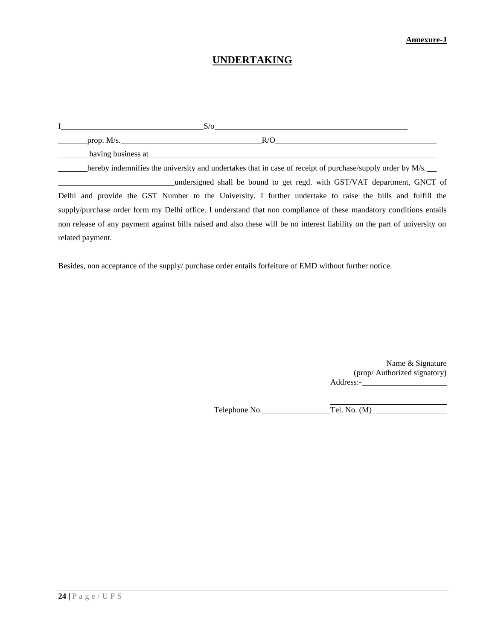## **Annexure-J**

## **UNDERTAKING**

|                                                                                                                                                                                                                                | S/O                                                                                                                       |  |
|--------------------------------------------------------------------------------------------------------------------------------------------------------------------------------------------------------------------------------|---------------------------------------------------------------------------------------------------------------------------|--|
| prop. M/s.                                                                                                                                                                                                                     | R/O                                                                                                                       |  |
| having business at the same state of the same state of the same state of the same state of the same state of the same state of the same state of the same state of the same state of the same state of the same state of the s |                                                                                                                           |  |
|                                                                                                                                                                                                                                | hereby indemnifies the university and undertakes that in case of receipt of purchase/supply order by M/s.                 |  |
|                                                                                                                                                                                                                                | undersigned shall be bound to get regd. with GST/VAT department, GNCT of                                                  |  |
|                                                                                                                                                                                                                                | Delhi and provide the GST Number to the University. I further undertake to raise the bills and fulfill the                |  |
|                                                                                                                                                                                                                                | supply/purchase order form my Delhi office. I understand that non compliance of these mandatory conditions entails        |  |
|                                                                                                                                                                                                                                | non release of any payment against bills raised and also these will be no interest liability on the part of university on |  |
| related payment.                                                                                                                                                                                                               |                                                                                                                           |  |

Besides, non acceptance of the supply/ purchase order entails forfeiture of EMD without further notice.

Name & Signature (prop/ Authorized signatory) Address:-

Telephone No. Tel. No. (M)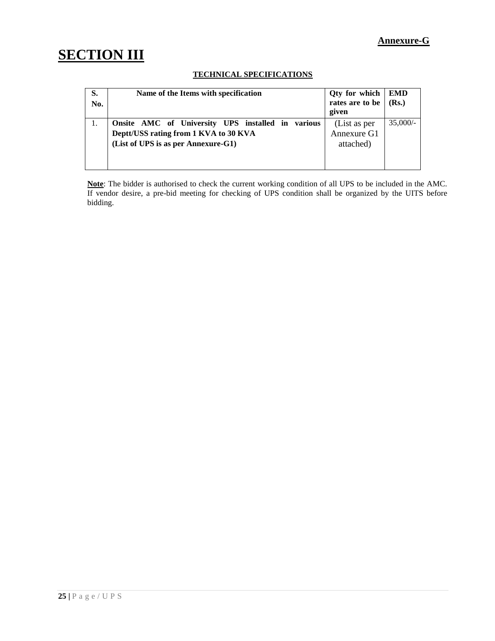## **Annexure-G**

# **SECTION III**

## **TECHNICAL SPECIFICATIONS**

| S.<br>No. | Name of the Items with specification                                                                                              | Qty for which<br>rates are to be<br>given | <b>EMD</b><br>(Rs.) |
|-----------|-----------------------------------------------------------------------------------------------------------------------------------|-------------------------------------------|---------------------|
|           | Onsite AMC of University UPS installed in various<br>Deptt/USS rating from 1 KVA to 30 KVA<br>(List of UPS is as per Annexure-G1) | (List as per<br>Annexure G1<br>attached)  | 35,000/             |

**Note**: The bidder is authorised to check the current working condition of all UPS to be included in the AMC. If vendor desire, a pre-bid meeting for checking of UPS condition shall be organized by the UITS before bidding.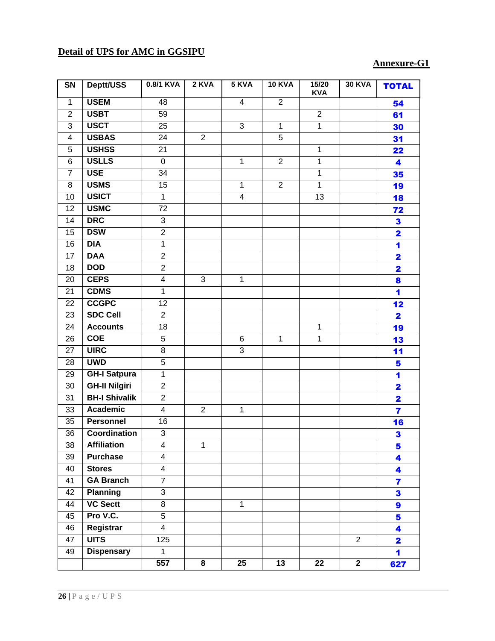## **Detail of UPS for AMC in GGSIPU**

## **Annexure-G1**

| SN              | Deptt/USS            | 0.8/1 KVA               | 2 KVA          | 5 KVA                   | <b>10 KVA</b>  | 15/20<br><b>KVA</b> | <b>30 KVA</b>  | <b>TOTAL</b>            |
|-----------------|----------------------|-------------------------|----------------|-------------------------|----------------|---------------------|----------------|-------------------------|
| $\mathbf{1}$    | <b>USEM</b>          | 48                      |                | $\overline{4}$          | $\overline{2}$ |                     |                | 54                      |
| $\overline{2}$  | <b>USBT</b>          | $\overline{59}$         |                |                         |                | $\overline{2}$      |                | 61                      |
| 3               | <b>USCT</b>          | 25                      |                | $\overline{3}$          | $\mathbf{1}$   | $\overline{1}$      |                | 30                      |
| 4               | <b>USBAS</b>         | 24                      | $\overline{2}$ |                         | $\overline{5}$ |                     |                | 31                      |
| $\sqrt{5}$      | <b>USHSS</b>         | $\overline{21}$         |                |                         |                | $\mathbf 1$         |                | 22                      |
| 6               | <b>USLLS</b>         | $\pmb{0}$               |                | $\mathbf 1$             | $\overline{2}$ | $\mathbf 1$         |                | 4                       |
| $\overline{7}$  | <b>USE</b>           | 34                      |                |                         |                | $\mathbf 1$         |                | 35                      |
| 8               | <b>USMS</b>          | $\overline{15}$         |                | 1                       | $\overline{2}$ | $\mathbf{1}$        |                | 19                      |
| 10              | <b>USICT</b>         | $\mathbf{1}$            |                | $\overline{\mathbf{4}}$ |                | 13                  |                | 18                      |
| 12              | <b>USMC</b>          | 72                      |                |                         |                |                     |                | 72                      |
| 14              | <b>DRC</b>           | $\overline{3}$          |                |                         |                |                     |                | 3                       |
| 15              | <b>DSW</b>           | $\overline{2}$          |                |                         |                |                     |                | $\overline{\mathbf{2}}$ |
| 16              | <b>DIA</b>           | $\mathbf{1}$            |                |                         |                |                     |                | 1                       |
| 17              | <b>DAA</b>           | $\overline{2}$          |                |                         |                |                     |                | $\overline{\mathbf{2}}$ |
| $\overline{18}$ | <b>DOD</b>           | $\overline{2}$          |                |                         |                |                     |                | $\overline{\mathbf{2}}$ |
| 20              | <b>CEPS</b>          | $\overline{4}$          | $\overline{3}$ | $\mathbf 1$             |                |                     |                | 8                       |
| 21              | <b>CDMS</b>          | $\mathbf{1}$            |                |                         |                |                     |                | 1                       |
| 22              | <b>CCGPC</b>         | $\overline{12}$         |                |                         |                |                     |                | 12                      |
| 23              | <b>SDC Cell</b>      | $\overline{2}$          |                |                         |                |                     |                | $\overline{\mathbf{2}}$ |
| 24              | <b>Accounts</b>      | $\overline{18}$         |                |                         |                | $\mathbf 1$         |                | 19                      |
| 26              | <b>COE</b>           | 5                       |                | 6                       | $\mathbf 1$    | $\mathbf 1$         |                | 13                      |
| 27              | <b>UIRC</b>          | $\overline{8}$          |                | $\overline{3}$          |                |                     |                | 11                      |
| 28              | <b>UWD</b>           | $\overline{5}$          |                |                         |                |                     |                | 5                       |
| 29              | <b>GH-I Satpura</b>  | $\overline{1}$          |                |                         |                |                     |                | 1                       |
| 30              | <b>GH-II Nilgiri</b> | $\overline{2}$          |                |                         |                |                     |                | $\overline{\mathbf{2}}$ |
| 31              | <b>BH-I Shivalik</b> | $\overline{2}$          |                |                         |                |                     |                | $\overline{\mathbf{2}}$ |
| 33              | Academic             | $\overline{\mathbf{4}}$ | $\overline{2}$ | $\mathbf 1$             |                |                     |                | $\overline{\mathbf{z}}$ |
| 35              | <b>Personnel</b>     | 16                      |                |                         |                |                     |                | 16                      |
| 36              | <b>Coordination</b>  | $\overline{3}$          |                |                         |                |                     |                | 3                       |
| 38              | <b>Affiliation</b>   | 4                       | 1              |                         |                |                     |                | 5                       |
| 39              | <b>Purchase</b>      | $\overline{4}$          |                |                         |                |                     |                | 4                       |
| 40              | <b>Stores</b>        | $\overline{4}$          |                |                         |                |                     |                | 4                       |
| 41              | <b>GA Branch</b>     | $\overline{7}$          |                |                         |                |                     |                | $\overline{\mathbf{r}}$ |
| 42              | <b>Planning</b>      | $\overline{3}$          |                |                         |                |                     |                | 3                       |
| 44              | <b>VC Sectt</b>      | $\overline{8}$          |                | $\mathbf{1}$            |                |                     |                | 9                       |
| 45              | Pro V.C.             | $\overline{5}$          |                |                         |                |                     |                | 5                       |
| 46              | Registrar            | $\overline{4}$          |                |                         |                |                     |                | 4                       |
| 47              | <b>UITS</b>          | 125                     |                |                         |                |                     | $\overline{2}$ | $\overline{\mathbf{2}}$ |
| 49              | <b>Dispensary</b>    | $\mathbf{1}$            |                |                         |                |                     |                | 1                       |
|                 |                      | 557                     | 8              | 25                      | 13             | 22                  | $\mathbf{2}$   | 627                     |